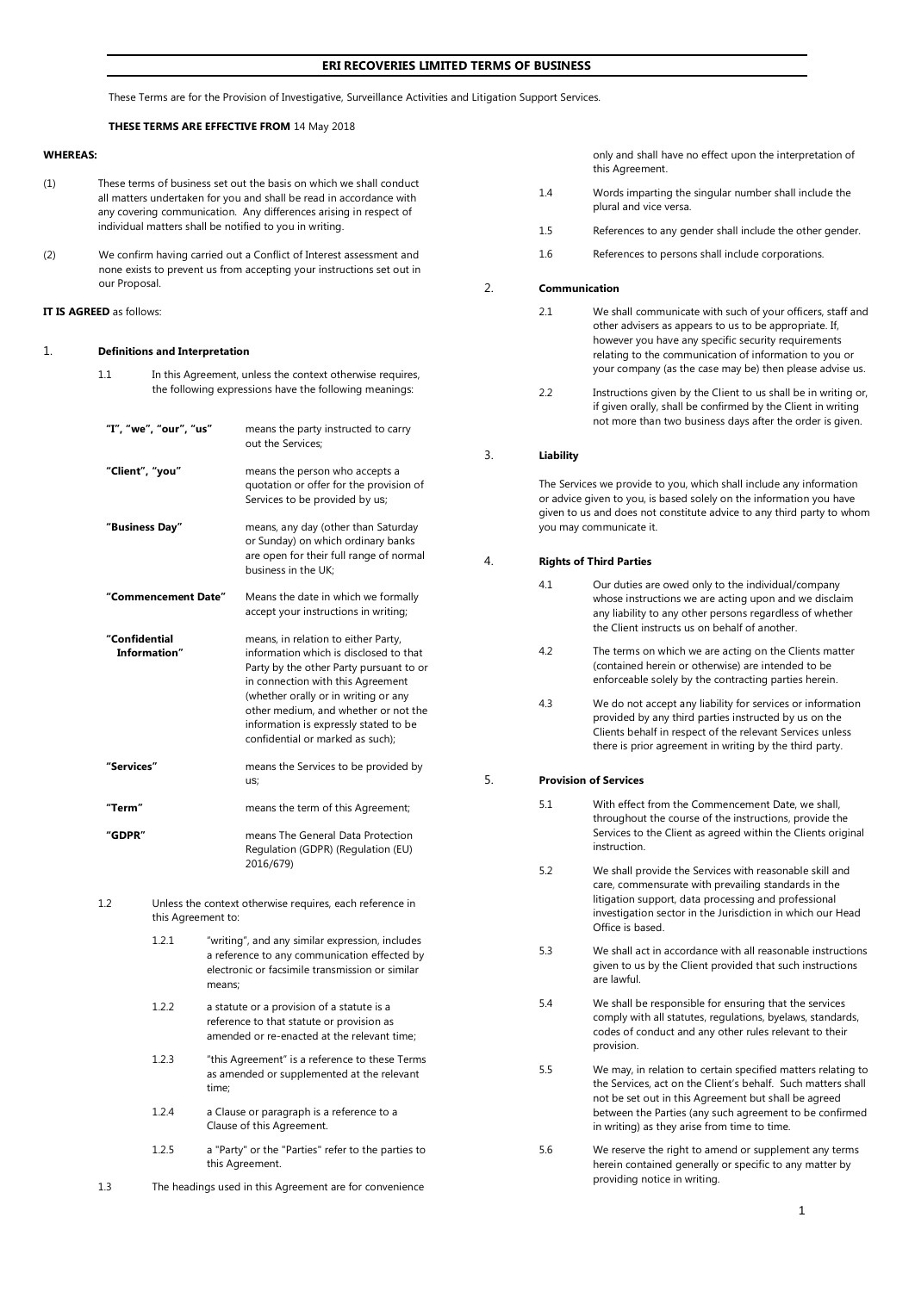## **ERI RECOVERIES LIMITED TERMS OF BUSINESS**

These Terms are for the Provision of Investigative, Surveillance Activities and Litigation Support Services.

## **THESE TERMS ARE EFFECTIVE FROM** 14 May 2018

#### **WHEREAS:**

- (1) These terms of business set out the basis on which we shall conduct all matters undertaken for you and shall be read in accordance with any covering communication. Any differences arising in respect of individual matters shall be notified to you in writing.
- (2) We confirm having carried out a Conflict of Interest assessment and none exists to prevent us from accepting your instructions set out in our Proposal.

#### **IT IS AGREED** as follows:

#### 1. **Definitions and Interpretation**

- 1.1 In this Agreement, unless the context otherwise requires, the following expressions have the following meanings:
- **"I", "we", "our", "us"** means the party instructed to carry out the Services; **"Client", "you"** means the person who accepts a quotation or offer for the provision of Services to be provided by us; **"Business Day"** means, any day (other than Saturday or Sunday) on which ordinary banks are open for their full range of normal business in the UK; **"Commencement Date"** Means the date in which we formally accept your instructions in writing; **"Confidential Information"** means, in relation to either Party, information which is disclosed to that Party by the other Party pursuant to or in connection with this Agreement (whether orally or in writing or any other medium, and whether or not the information is expressly stated to be confidential or marked as such); **"Services"** means the Services to be provided by us; **"Term"** means the term of this Agreement; **"GDPR"** means The General Data Protection Regulation (GDPR) (Regulation (EU) 2016/679) 1.2 Unless the context otherwise requires, each reference in this Agreement to: 1.2.1 "writing", and any similar expression, includes a reference to any communication effected by electronic or facsimile transmission or similar means; 1.2.2 a statute or a provision of a statute is a reference to that statute or provision as amended or re-enacted at the relevant time;
	- 1.2.3 "this Agreement" is a reference to these Terms as amended or supplemented at the relevant time;
	- 1.2.4 a Clause or paragraph is a reference to a Clause of this Agreement.
	- 1.2.5 a "Party" or the "Parties" refer to the parties to this Agreement.
- 1.3 The headings used in this Agreement are for convenience

only and shall have no effect upon the interpretation of this Agreement.

- 1.4 Words imparting the singular number shall include the plural and vice versa.
- 1.5 References to any gender shall include the other gender.
- 1.6 References to persons shall include corporations.

#### 2. **Communication**

- 2.1 We shall communicate with such of your officers, staff and other advisers as appears to us to be appropriate. If, however you have any specific security requirements relating to the communication of information to you or your company (as the case may be) then please advise us.
- 2.2 Instructions given by the Client to us shall be in writing or, if given orally, shall be confirmed by the Client in writing not more than two business days after the order is given.

#### 3. **Liability**

The Services we provide to you, which shall include any information or advice given to you, is based solely on the information you have given to us and does not constitute advice to any third party to whom you may communicate it.

## 4. **Rights of Third Parties**

- 4.1 Our duties are owed only to the individual/company whose instructions we are acting upon and we disclaim any liability to any other persons regardless of whether the Client instructs us on behalf of another.
- 4.2 The terms on which we are acting on the Clients matter (contained herein or otherwise) are intended to be enforceable solely by the contracting parties herein.
- 4.3 We do not accept any liability for services or information provided by any third parties instructed by us on the Clients behalf in respect of the relevant Services unless there is prior agreement in writing by the third party.

## 5. **Provision of Services**

- 5.1 With effect from the Commencement Date, we shall, throughout the course of the instructions, provide the Services to the Client as agreed within the Clients original instruction.
- 5.2 We shall provide the Services with reasonable skill and care, commensurate with prevailing standards in the litigation support, data processing and professional investigation sector in the Jurisdiction in which our Head Office is based.
- 5.3 We shall act in accordance with all reasonable instructions given to us by the Client provided that such instructions are lawful.
- 5.4 We shall be responsible for ensuring that the services comply with all statutes, regulations, byelaws, standards, codes of conduct and any other rules relevant to their provision.
- 5.5 We may, in relation to certain specified matters relating to the Services, act on the Client's behalf. Such matters shall not be set out in this Agreement but shall be agreed between the Parties (any such agreement to be confirmed in writing) as they arise from time to time.
- 5.6 We reserve the right to amend or supplement any terms herein contained generally or specific to any matter by providing notice in writing.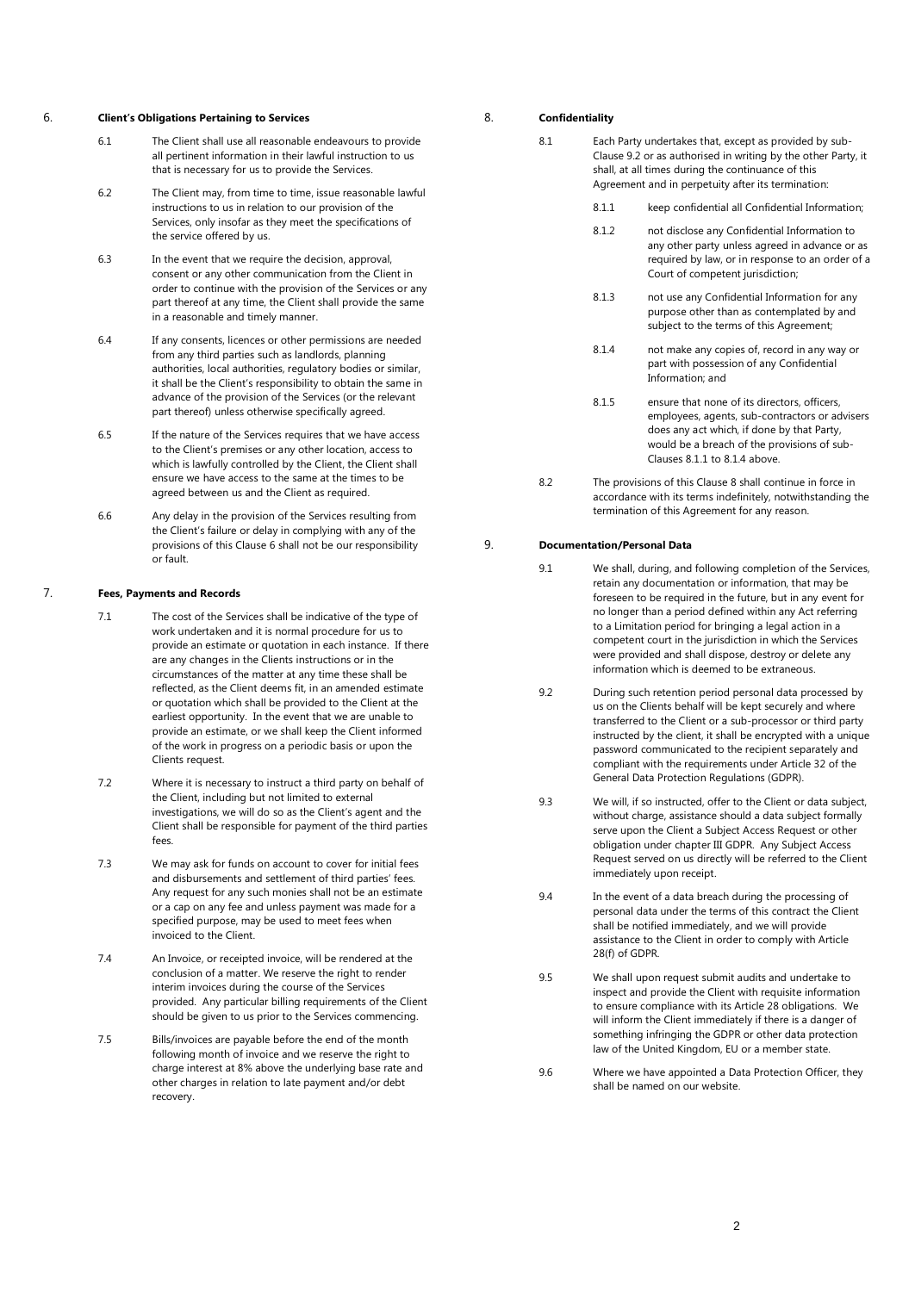#### 6. **Client's Obligations Pertaining to Services**

- 6.1 The Client shall use all reasonable endeavours to provide all pertinent information in their lawful instruction to us that is necessary for us to provide the Services.
- 6.2 The Client may, from time to time, issue reasonable lawful instructions to us in relation to our provision of the Services, only insofar as they meet the specifications of the service offered by us.
- 6.3 In the event that we require the decision, approval, consent or any other communication from the Client in order to continue with the provision of the Services or any part thereof at any time, the Client shall provide the same in a reasonable and timely manner.
- 6.4 If any consents, licences or other permissions are needed from any third parties such as landlords, planning authorities, local authorities, regulatory bodies or similar, it shall be the Client's responsibility to obtain the same in advance of the provision of the Services (or the relevant part thereof) unless otherwise specifically agreed.
- 6.5 If the nature of the Services requires that we have access to the Client's premises or any other location, access to which is lawfully controlled by the Client, the Client shall ensure we have access to the same at the times to be agreed between us and the Client as required.
- 6.6 Any delay in the provision of the Services resulting from the Client's failure or delay in complying with any of the provisions of this Clause 6 shall not be our responsibility or fault.

## 7. **Fees, Payments and Records**

- 7.1 The cost of the Services shall be indicative of the type of work undertaken and it is normal procedure for us to provide an estimate or quotation in each instance. If there are any changes in the Clients instructions or in the circumstances of the matter at any time these shall be reflected, as the Client deems fit, in an amended estimate or quotation which shall be provided to the Client at the earliest opportunity. In the event that we are unable to provide an estimate, or we shall keep the Client informed of the work in progress on a periodic basis or upon the Clients request.
- 7.2 Where it is necessary to instruct a third party on behalf of the Client, including but not limited to external investigations, we will do so as the Client's agent and the Client shall be responsible for payment of the third parties fees.
- 7.3 We may ask for funds on account to cover for initial fees and disbursements and settlement of third parties' fees. Any request for any such monies shall not be an estimate or a cap on any fee and unless payment was made for a specified purpose, may be used to meet fees when invoiced to the Client.
- 7.4 An Invoice, or receipted invoice, will be rendered at the conclusion of a matter. We reserve the right to render interim invoices during the course of the Services provided. Any particular billing requirements of the Client should be given to us prior to the Services commencing.
- 7.5 Bills/invoices are payable before the end of the month following month of invoice and we reserve the right to charge interest at 8% above the underlying base rate and other charges in relation to late payment and/or debt recovery.

#### 8. **Confidentiality**

- 8.1 Each Party undertakes that, except as provided by sub-Clause 9.2 or as authorised in writing by the other Party, it shall, at all times during the continuance of this Agreement and in perpetuity after its termination:
	- 8.1.1 keep confidential all Confidential Information;
	- 8.1.2 not disclose any Confidential Information to any other party unless agreed in advance or as required by law, or in response to an order of a Court of competent jurisdiction;
	- 8.1.3 not use any Confidential Information for any purpose other than as contemplated by and subject to the terms of this Agreement;
	- 8.1.4 not make any copies of, record in any way or part with possession of any Confidential Information; and
	- 8.1.5 ensure that none of its directors, officers, employees, agents, sub-contractors or advisers does any act which, if done by that Party, would be a breach of the provisions of sub-Clauses 8.1.1 to 8.1.4 above.
- 8.2 The provisions of this Clause 8 shall continue in force in accordance with its terms indefinitely, notwithstanding the termination of this Agreement for any reason.

# 9. **Documentation/Personal Data**

- 9.1 We shall, during, and following completion of the Services, retain any documentation or information, that may be foreseen to be required in the future, but in any event for no longer than a period defined within any Act referring to a Limitation period for bringing a legal action in a competent court in the jurisdiction in which the Services were provided and shall dispose, destroy or delete any information which is deemed to be extraneous.
- 9.2 During such retention period personal data processed by us on the Clients behalf will be kept securely and where transferred to the Client or a sub-processor or third party instructed by the client, it shall be encrypted with a unique password communicated to the recipient separately and compliant with the requirements under Article 32 of the General Data Protection Regulations (GDPR).
- 9.3 We will, if so instructed, offer to the Client or data subject, without charge, assistance should a data subject formally serve upon the Client a Subject Access Request or other obligation under chapter III GDPR. Any Subject Access Request served on us directly will be referred to the Client immediately upon receipt.
- 9.4 In the event of a data breach during the processing of personal data under the terms of this contract the Client shall be notified immediately, and we will provide assistance to the Client in order to comply with Article 28(f) of GDPR.
- 9.5 We shall upon request submit audits and undertake to inspect and provide the Client with requisite information to ensure compliance with its Article 28 obligations. We will inform the Client immediately if there is a danger of something infringing the GDPR or other data protection law of the United Kingdom, EU or a member state.
- 9.6 Where we have appointed a Data Protection Officer, they shall be named on our website.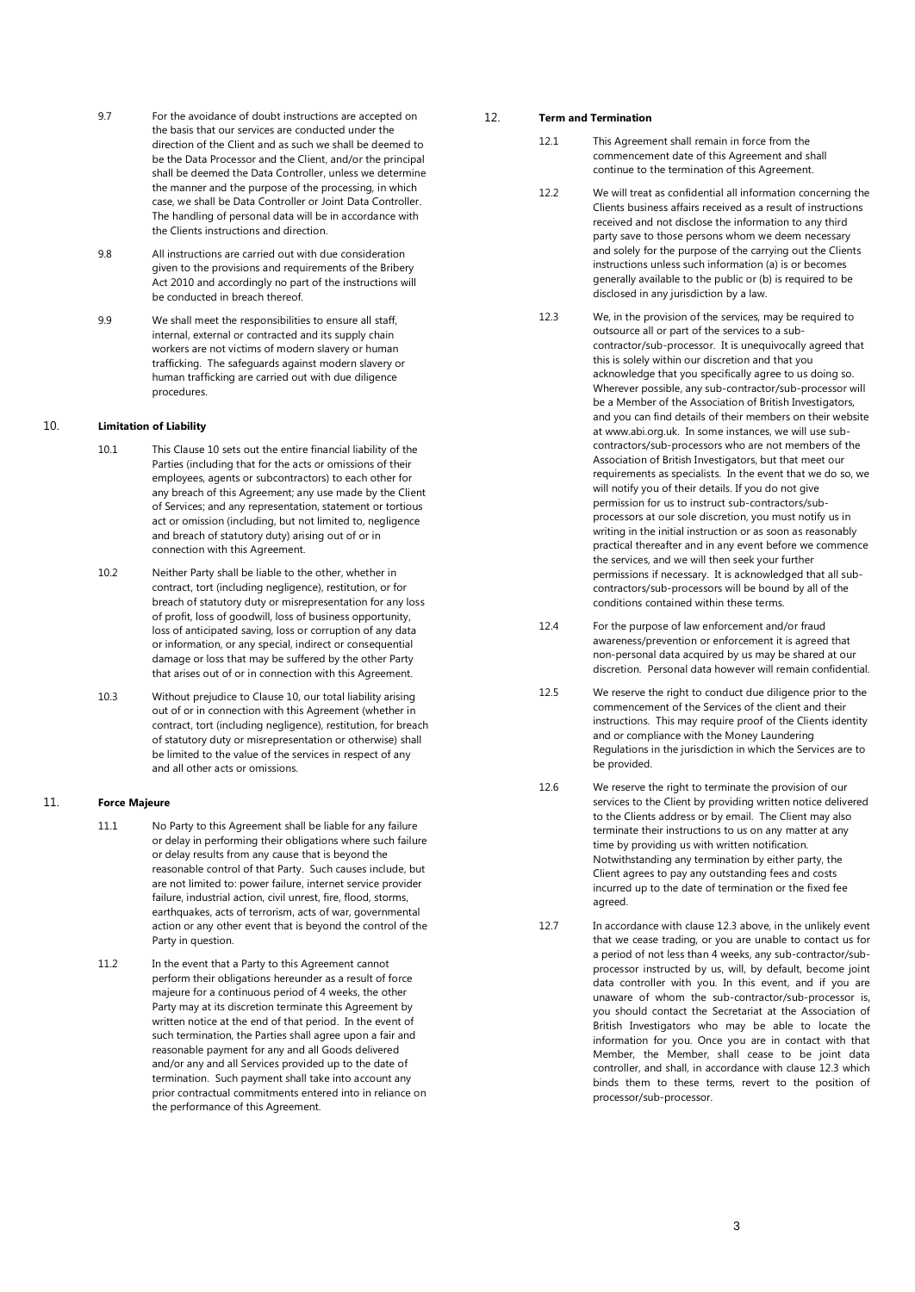- 9.7 For the avoidance of doubt instructions are accepted on the basis that our services are conducted under the direction of the Client and as such we shall be deemed to be the Data Processor and the Client, and/or the principal shall be deemed the Data Controller, unless we determine the manner and the purpose of the processing, in which case, we shall be Data Controller or Joint Data Controller. The handling of personal data will be in accordance with the Clients instructions and direction.
- 9.8 All instructions are carried out with due consideration given to the provisions and requirements of the Bribery Act 2010 and accordingly no part of the instructions will be conducted in breach thereof.
- 9.9 We shall meet the responsibilities to ensure all staff, internal, external or contracted and its supply chain workers are not victims of modern slavery or human trafficking. The safeguards against modern slavery or human trafficking are carried out with due diligence procedures.

# 10. **Limitation of Liability**

- 10.1 This Clause 10 sets out the entire financial liability of the Parties (including that for the acts or omissions of their employees, agents or subcontractors) to each other for any breach of this Agreement; any use made by the Client of Services; and any representation, statement or tortious act or omission (including, but not limited to, negligence and breach of statutory duty) arising out of or in connection with this Agreement.
- 10.2 Neither Party shall be liable to the other, whether in contract, tort (including negligence), restitution, or for breach of statutory duty or misrepresentation for any loss of profit, loss of goodwill, loss of business opportunity, loss of anticipated saving, loss or corruption of any data or information, or any special, indirect or consequential damage or loss that may be suffered by the other Party that arises out of or in connection with this Agreement.
- 10.3 Without prejudice to Clause 10, our total liability arising out of or in connection with this Agreement (whether in contract, tort (including negligence), restitution, for breach of statutory duty or misrepresentation or otherwise) shall be limited to the value of the services in respect of any and all other acts or omissions.

## 11. **Force Majeure**

- 11.1 No Party to this Agreement shall be liable for any failure or delay in performing their obligations where such failure or delay results from any cause that is beyond the reasonable control of that Party. Such causes include, but are not limited to: power failure, internet service provider failure, industrial action, civil unrest, fire, flood, storms, earthquakes, acts of terrorism, acts of war, governmental action or any other event that is beyond the control of the Party in question.
- 11.2 In the event that a Party to this Agreement cannot perform their obligations hereunder as a result of force majeure for a continuous period of 4 weeks, the other Party may at its discretion terminate this Agreement by written notice at the end of that period. In the event of such termination, the Parties shall agree upon a fair and reasonable payment for any and all Goods delivered and/or any and all Services provided up to the date of termination. Such payment shall take into account any prior contractual commitments entered into in reliance on the performance of this Agreement.

#### 12. **Term and Termination**

- 12.1 This Agreement shall remain in force from the commencement date of this Agreement and shall continue to the termination of this Agreement.
- 12.2 We will treat as confidential all information concerning the Clients business affairs received as a result of instructions received and not disclose the information to any third party save to those persons whom we deem necessary and solely for the purpose of the carrying out the Clients instructions unless such information (a) is or becomes generally available to the public or (b) is required to be disclosed in any jurisdiction by a law.
- 12.3 We, in the provision of the services, may be required to outsource all or part of the services to a subcontractor/sub-processor. It is unequivocally agreed that this is solely within our discretion and that you acknowledge that you specifically agree to us doing so. Wherever possible, any sub-contractor/sub-processor will be a Member of the Association of British Investigators, and you can find details of their members on their website at www.abi.org.uk. In some instances, we will use subcontractors/sub-processors who are not members of the Association of British Investigators, but that meet our requirements as specialists. In the event that we do so, we will notify you of their details. If you do not give permission for us to instruct sub-contractors/subprocessors at our sole discretion, you must notify us in writing in the initial instruction or as soon as reasonably practical thereafter and in any event before we commence the services, and we will then seek your further permissions if necessary. It is acknowledged that all subcontractors/sub-processors will be bound by all of the conditions contained within these terms.
- 12.4 For the purpose of law enforcement and/or fraud awareness/prevention or enforcement it is agreed that non-personal data acquired by us may be shared at our discretion. Personal data however will remain confidential.
- 12.5 We reserve the right to conduct due diligence prior to the commencement of the Services of the client and their instructions. This may require proof of the Clients identity and or compliance with the Money Laundering Regulations in the jurisdiction in which the Services are to be provided.
- 12.6 We reserve the right to terminate the provision of our services to the Client by providing written notice delivered to the Clients address or by email. The Client may also terminate their instructions to us on any matter at any time by providing us with written notification. Notwithstanding any termination by either party, the Client agrees to pay any outstanding fees and costs incurred up to the date of termination or the fixed fee agreed.
- 12.7 In accordance with clause 12.3 above, in the unlikely event that we cease trading, or you are unable to contact us for a period of not less than 4 weeks, any sub-contractor/subprocessor instructed by us, will, by default, become joint data controller with you. In this event, and if you are unaware of whom the sub-contractor/sub-processor is, you should contact the Secretariat at the Association of British Investigators who may be able to locate the information for you. Once you are in contact with that Member, the Member, shall cease to be joint data controller, and shall, in accordance with clause 12.3 which binds them to these terms, revert to the position of processor/sub-processor.